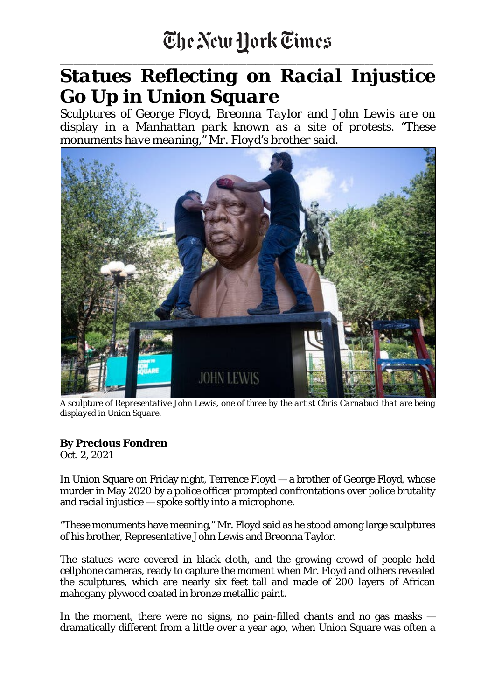## The New Hork Times

\_\_\_\_\_\_\_\_\_\_\_\_\_\_\_\_\_\_\_\_\_\_\_\_\_\_\_\_\_\_\_\_\_\_\_\_\_\_\_\_\_\_\_\_\_\_\_\_\_\_\_\_\_\_\_\_\_\_\_\_\_\_\_\_\_\_\_\_\_\_\_\_\_\_\_\_\_\_\_\_\_\_

## *Statues Reflecting on Racial Injustice Go Up in Union Square*

*Sculptures of George Floyd, Breonna Taylor and John Lewis are on display in a Manhattan park known as a site of protests. "These monuments have meaning," Mr. Floyd's brother said.*



*A sculpture of Representative John Lewis, one of three by the artist Chris Carnabuci that are being displayed in Union Square.*

## **By Precious Fondren**

Oct. 2, 2021

In Union Square on Friday night, Terrence Floyd — a brother of George Floyd, whose murder in May 2020 by a police officer prompted confrontations over police brutality and racial injustice — spoke softly into a microphone.

"These monuments have meaning," Mr. Floyd said as he stood among large sculptures of his brother, Representative John Lewis and Breonna Taylor.

The statues were covered in black cloth, and the growing crowd of people held cellphone cameras, ready to capture the moment when Mr. Floyd and others revealed the sculptures, which are nearly six feet tall and made of 200 layers of African mahogany plywood coated in bronze metallic paint.

In the moment, there were no signs, no pain-filled chants and no gas masks dramatically different from a little over a year ago, when Union Square was often a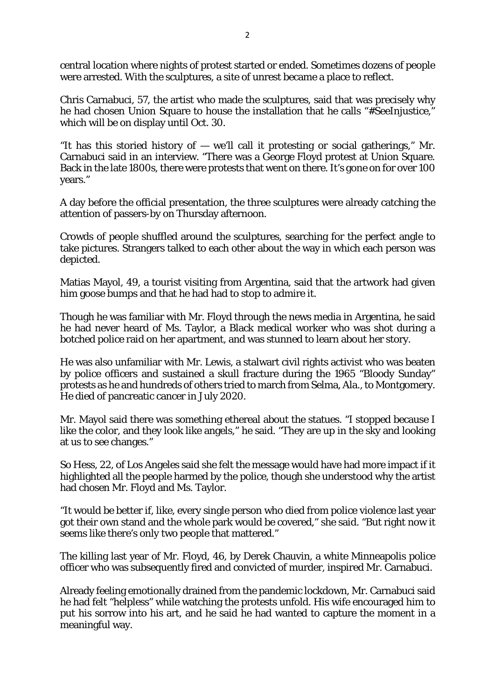central location where nights of protest started or ended. Sometimes dozens of people were arrested. With the sculptures, a site of unrest became a place to reflect.

Chris Carnabuci, 57, the artist who made the sculptures, said that was precisely why he had chosen Union Square to house the installation that he calls "#SeeInjustice," which will be on display until Oct. 30.

"It has this storied history of  $-$  we'll call it protesting or social gatherings," Mr. Carnabuci said in an interview. "There was a George Floyd protest at Union Square. Back in the late 1800s, there were protests that went on there. It's gone on for over 100 years."

A day before the official presentation, the three sculptures were already catching the attention of passers-by on Thursday afternoon.

Crowds of people shuffled around the sculptures, searching for the perfect angle to take pictures. Strangers talked to each other about the way in which each person was depicted.

Matias Mayol, 49, a tourist visiting from Argentina, said that the artwork had given him goose bumps and that he had had to stop to admire it.

Though he was familiar with Mr. Floyd through the news media in Argentina, he said he had never heard of Ms. Taylor, a Black medical worker who was shot during a botched police raid on her apartment, and was stunned to learn about her story.

He was also unfamiliar with Mr. Lewis, a stalwart civil rights activist who was beaten by police officers and sustained a skull fracture during the 1965 "Bloody Sunday" protests as he and hundreds of others tried to march from Selma, Ala., to Montgomery. He died of pancreatic cancer in July 2020.

Mr. Mayol said there was something ethereal about the statues. "I stopped because I like the color, and they look like angels," he said. "They are up in the sky and looking at us to see changes."

So Hess, 22, of Los Angeles said she felt the message would have had more impact if it highlighted all the people harmed by the police, though she understood why the artist had chosen Mr. Floyd and Ms. Taylor.

"It would be better if, like, every single person who died from police violence last year got their own stand and the whole park would be covered," she said. "But right now it seems like there's only two people that mattered."

The killing last year of Mr. Floyd, 46, by Derek Chauvin, a white Minneapolis police officer who was subsequently fired and convicted of murder, inspired Mr. Carnabuci.

Already feeling emotionally drained from the pandemic lockdown, Mr. Carnabuci said he had felt "helpless" while watching the protests unfold. His wife encouraged him to put his sorrow into his art, and he said he had wanted to capture the moment in a meaningful way.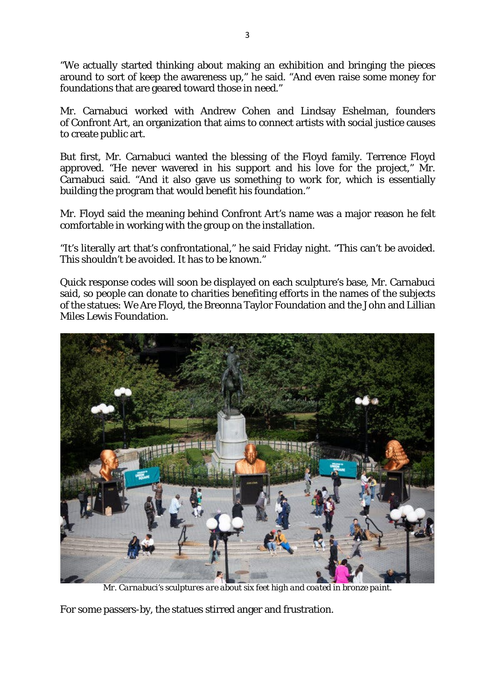"We actually started thinking about making an exhibition and bringing the pieces around to sort of keep the awareness up," he said. "And even raise some money for foundations that are geared toward those in need."

Mr. Carnabuci worked with Andrew Cohen and Lindsay Eshelman, founders of Confront Art, an organization that aims to connect artists with social justice causes to create public art.

But first, Mr. Carnabuci wanted the blessing of the Floyd family. Terrence Floyd approved. "He never wavered in his support and his love for the project," Mr. Carnabuci said. "And it also gave us something to work for, which is essentially building the program that would benefit his foundation."

Mr. Floyd said the meaning behind Confront Art's name was a major reason he felt comfortable in working with the group on the installation.

"It's literally art that's confrontational," he said Friday night. "This can't be avoided. This shouldn't be avoided. It has to be known."

Quick response codes will soon be displayed on each sculpture's base, Mr. Carnabuci said, so people can donate to charities benefiting efforts in the names of the subjects of the statues: We Are Floyd, the Breonna Taylor Foundation and the John and Lillian Miles Lewis Foundation.



*Mr. Carnabuci's sculptures are about six feet high and coated in bronze paint.*

For some passers-by, the statues stirred anger and frustration.